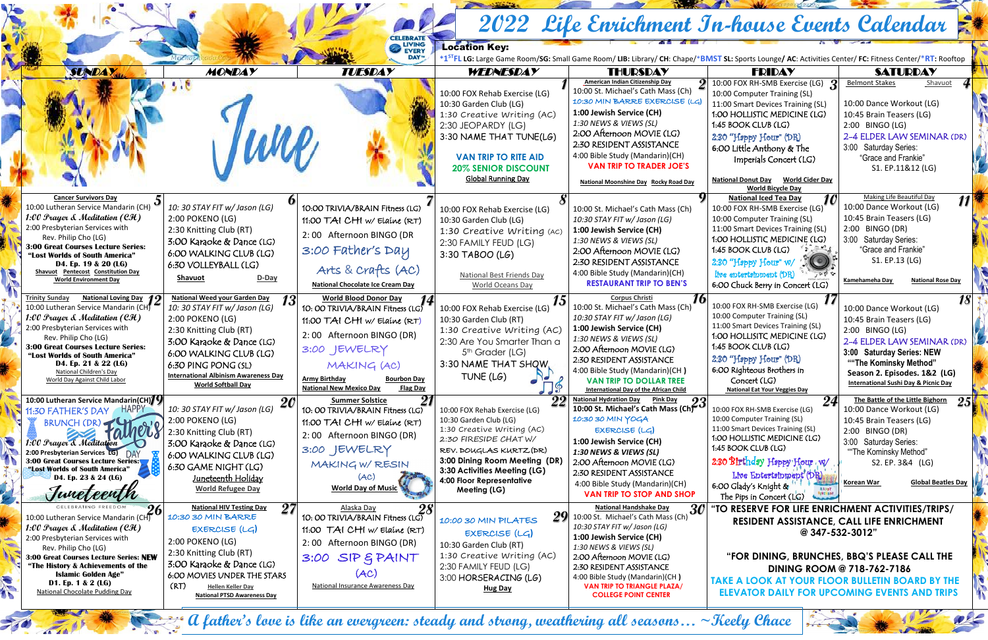|                                            |                                                                                                                                                                                      |                                                             |                                                   |                                                      | 2022 Life Enrichment In-house Events Calendar                            |                                                                   |                                                                    |  |  |  |
|--------------------------------------------|--------------------------------------------------------------------------------------------------------------------------------------------------------------------------------------|-------------------------------------------------------------|---------------------------------------------------|------------------------------------------------------|--------------------------------------------------------------------------|-------------------------------------------------------------------|--------------------------------------------------------------------|--|--|--|
| CELEBRATE<br>EVERY<br><b>Location Key:</b> |                                                                                                                                                                                      |                                                             |                                                   |                                                      |                                                                          |                                                                   |                                                                    |  |  |  |
|                                            | <b>DAYTM</b><br>*1 <sup>ST</sup> FL LG: Large Game Room/SG: Small Game Room/ LIB: Library/ CH: Chape/*BMST SL: Sports Lounge/ AC: Activities Center/ FC: Fitness Center/*RT: Rooftop |                                                             |                                                   |                                                      |                                                                          |                                                                   |                                                                    |  |  |  |
|                                            | <b>SUNDAY</b>                                                                                                                                                                        | <b>MONDAY</b>                                               | <b>TUESDAY</b>                                    | WEDNESDAY                                            | <b>THURSDAY</b>                                                          | <b>FRIDAY</b>                                                     | <b>SATURDAY</b>                                                    |  |  |  |
|                                            |                                                                                                                                                                                      |                                                             |                                                   |                                                      | <b>American Indian Citizenship Day</b>                                   | 10:00 FOX RH-SMB Exercise (LG)                                    | Shavuot<br><b>Belmont Stakes</b>                                   |  |  |  |
|                                            |                                                                                                                                                                                      |                                                             |                                                   | 10:00 FOX Rehab Exercise (LG)                        | 10:00 St. Michael's Cath Mass (Ch)                                       | 10:00 Computer Training (SL)                                      |                                                                    |  |  |  |
|                                            |                                                                                                                                                                                      |                                                             |                                                   | 10:30 Garden Club (LG)                               | 10:30 MIN BARRE EXERCISE (LC<br>1:00 Jewish Service (CH)                 | 11:00 Smart Devices Training (SL)                                 | 10:00 Dance Workout (LG)                                           |  |  |  |
|                                            |                                                                                                                                                                                      |                                                             |                                                   | 1:30 Creative Writing (AC)                           | 1:30 NEWS & VIEWS (SL)                                                   | 1:00 HOLLISTIC MEDICINE (LG)<br>1:45 BOOK CLUB (LG)               | 10:45 Brain Teasers (LG)                                           |  |  |  |
|                                            |                                                                                                                                                                                      |                                                             |                                                   | 2:30 JEOPARDY (LG)                                   | 2:00 Afternoon MOVIE (LG)                                                |                                                                   | 2:00 BINGO (LG)<br>2-4 ELDER LAW SEMINAR (DR)                      |  |  |  |
|                                            |                                                                                                                                                                                      | WCP,                                                        |                                                   | 3:30 NAME THAT TUNE(LG)                              | 2:30 RESIDENT ASSISTANCE                                                 | 2:30 "Happy Hour" (DR)<br>6:00 Little Anthony & The               | 3:00 Saturday Series:                                              |  |  |  |
|                                            |                                                                                                                                                                                      |                                                             |                                                   | <b>VAN TRIP TO RITE AID</b>                          | 4:00 Bible Study (Mandarin)(CH)                                          | Imperials Concert (LG)                                            | "Grace and Frankie"                                                |  |  |  |
|                                            |                                                                                                                                                                                      |                                                             |                                                   | <b>20% SENIOR DISCOUNT</b>                           | <b>VAN TRIP TO TRADER JOE'S</b>                                          |                                                                   | S1. EP.11&12 (LG)                                                  |  |  |  |
|                                            |                                                                                                                                                                                      |                                                             |                                                   | <b>Global Running Day</b>                            | <b>National Moonshine Day Rocky Road Day</b>                             | National Donut Day World Cider Day<br><b>World Bicycle Day</b>    |                                                                    |  |  |  |
|                                            | <b>Cancer Survivors Day</b><br>10:00 Lutheran Service Mandarin (CH)                                                                                                                  | 10: 30 STAY FIT w/ Jason (LG)                               |                                                   |                                                      |                                                                          | <b>National Iced Tea Day</b>                                      | <b>Making Life Beautiful Day</b><br>11<br>10:00 Dance Workout (LG) |  |  |  |
|                                            | 1:00 Prayer $\&$ Meditation (CH)                                                                                                                                                     | 2:00 POKENO (LG)                                            | 10:00 TRIVIA/BRAIN Fitness (LG)                   | 10:00 FOX Rehab Exercise (LG)                        | 10:00 St. Michael's Cath Mass (Ch)<br>10:30 STAY FIT w/ Jason (LG)       | 10:00 FOX RH-SMB Exercise (LG)<br>10:00 Computer Training (SL)    | 10:45 Brain Teasers (LG)                                           |  |  |  |
|                                            | 2:00 Presbyterian Services with                                                                                                                                                      | 2:30 Knitting Club (RT)                                     | 11:00 TAI CHI w/ Elaine (RT)                      | 10:30 Garden Club (LG)                               | 1:00 Jewish Service (CH)                                                 | 11:00 Smart Devices Training (SL)                                 | 2:00 BINGO (DR)                                                    |  |  |  |
|                                            | Rev. Philip Cho (LG)                                                                                                                                                                 | 3:00 Karaoke & Dance (LG)                                   | 2:00 Afternoon BINGO (DR                          | 1:30 Creative Writing (Ac)<br>2:30 FAMILY FEUD (LG)  | 1:30 NEWS & VIEWS (SL)                                                   | 1:00 HOLLISTIC MEDICINE (LG)                                      | 3:00 Saturday Series:                                              |  |  |  |
|                                            | <b>3:00 Great Courses Lecture Series:</b><br>"Lost Worlds of South America"                                                                                                          | 6:00 WALKING CLUB (LG)                                      | 3:00 Father's Day                                 | 3:30 TABOO (LG)                                      | 2:00 Afternoon MOVIE (LG)                                                | 1:45 BOOK CLUB (LG)                                               | "Grace and Frankie"                                                |  |  |  |
|                                            | D4. Ep. 19 & 20 (LG)                                                                                                                                                                 | 6:30 VOLLEYBALL (LG)                                        |                                                   |                                                      | 2:30 RESIDENT ASSISTANCE                                                 | 2:30 "Happy Hour" w/                                              | S1. EP.13 (LG)                                                     |  |  |  |
|                                            | Shavuot Pentecost Constitution Day                                                                                                                                                   | D-Day<br>Shavuot                                            | Arts & Crafts (AC)                                | <b>National Best Friends Day</b>                     | 4:00 Bible Study (Mandarin)(CH)                                          | live entertsinment (DR)<br>$\sim$ 0 $\sim$                        |                                                                    |  |  |  |
|                                            | <b>World Environment Day</b>                                                                                                                                                         |                                                             | <b>National Chocolate Ice Cream Day</b>           | World Oceans Day                                     | <b>RESTAURANT TRIP TO BEN'S</b>                                          | 6:00 Chuck Berry in Concert (LG)                                  | Kamehameha Day<br><b>National Rose Day</b>                         |  |  |  |
|                                            | <b>National Loving Day 19</b><br><b>Trinity Sunday</b>                                                                                                                               | <b>National Weed your Garden Day</b>                        | <b>World Blood Donor Day</b><br>13                |                                                      | <b>Corpus Christi</b>                                                    | 10:00 FOX RH-SMB Exercise (LG)                                    | <i>18</i>                                                          |  |  |  |
|                                            | 10:00 Lutheran Service Mandarin (CH)<br>1:00 Prayer & Meditation (CH)                                                                                                                | 10: 30 STAY FIT w/ Jason (LG)                               | 10: OO TRIVIA/BRAIN Fitness (LG)                  | 10:00 FOX Rehab Exercise (LG)                        | 10:00 St. Michael's Cath Mass (Ch)<br>10:30 STAY FIT w/ Jason (LG)       | 10:00 Computer Training (SL)                                      | 10:00 Dance Workout (LG)                                           |  |  |  |
|                                            | 2:00 Presbyterian Services with                                                                                                                                                      | 2:00 POKENO (LG)<br>2:30 Knitting Club (RT)                 | 11:00 TAI CHI w/ Elaine (RT)                      | 10:30 Garden Club (RT)<br>1:30 Creative Writing (AC) | 1:00 Jewish Service (CH)                                                 | 11:00 Smart Devices Training (SL)                                 | 10:45 Brain Teasers (LG)<br>2:00 BINGO (LG)                        |  |  |  |
|                                            | Rev. Philip Cho (LG)                                                                                                                                                                 | 3:00 Karaoke & Dance (LG)                                   | 2:00 Afternoon BINGO (DR)                         | 2:30 Are You Smarter Than a                          | 1:30 NEWS & VIEWS (SL)                                                   | 1:00 HOLLISITC MEDICINE (LG)                                      | 2-4 ELDER LAW SEMINAR (DR)                                         |  |  |  |
|                                            | <b>3:00 Great Courses Lecture Series:</b><br>"Lost Worlds of South America"                                                                                                          | 6:00 WALKING CLUB (LG)                                      | 3:00 JEWELRY                                      | 5 <sup>th</sup> Grader (LG)                          | 2:00 Afternoon MOVIE (LG)                                                | 1:45 BOOK CLUB (LG)                                               | 3:00 Saturday Series: NEW                                          |  |  |  |
|                                            | D4. Ep. 21 & 22 (LG)                                                                                                                                                                 | 6:30 PING PONG (SL)                                         | MAKING (AC)                                       | 3:30 NAME THAT SHQW.                                 | 2:30 RESIDENT ASSISTANCE                                                 | 2:30 "Hoppy Hour" (DR)                                            | ""The Kominsky Method"                                             |  |  |  |
|                                            | National Children's Day<br>World Day Against Child Labor                                                                                                                             | <b>International Albinism Awareness Day</b>                 | <b>Army Birthday</b><br><b>Bourbon Day</b>        | TUNE (LG)<br>$\overline{C}$                          | 4:00 Bible Study (Mandarin)(CH)                                          | 6:00 Righteous Brothers in                                        | Season 2. Episodes. 1&2 (LG)                                       |  |  |  |
|                                            |                                                                                                                                                                                      | <b>World Softball Day</b>                                   | <b>National New Mexico Day</b><br><b>Flag Day</b> | $\sqrt{9}$                                           | <b>VAN TRIP TO DOLLAR TREE</b><br>International Day of the African Child | Concert (LG)<br><b>National Eat Your Veggies Day</b>              | <b>International Sushi Day &amp; Picnic Day</b>                    |  |  |  |
|                                            | 10:00 Lutheran Service Mandarin(CH) $/9$                                                                                                                                             | 20                                                          | 21<br><b>Summer Solstice</b>                      | 22                                                   | <b>National Hydration Day</b><br>Pink Day<br>23                          | 24                                                                | The Battle of the Little Bighorn<br><b>25</b>                      |  |  |  |
|                                            | <b>HAPPY</b><br>11:30 FATHER'S DAY                                                                                                                                                   | 10: 30 STAY FIT w/ Jason (LG)                               | 10: 00 TRIVIA/BRAIN Fitness (LG)                  | 10:00 FOX Rehab Exercise (LG)                        | 10:00 St. Michael's Cath Mass (Ch)                                       | 10:00 FOX RH-SMB Exercise (LG)                                    | 10:00 Dance Workout (LG)                                           |  |  |  |
|                                            | BRUNCH (DR)                                                                                                                                                                          | 2:00 POKENO (LG)                                            | 11:00 TAI CHI w/ Elaine (RT)                      | 10:30 Garden Club (LG)<br>1:30 Creative Writing (AC) | 10:30 30 MIN YOGA<br>EXERCISE (LG)                                       | 10:00 Computer Training (SL)<br>11:00 Smart Devices Training (SL) | 10:45 Brain Teasers (LG)                                           |  |  |  |
|                                            | Tainery                                                                                                                                                                              | 2:30 Knitting Club (RT)                                     | 2:00 Afternoon BINGO (DR)                         | 2:30 FIRESIDE CHATW/                                 | 1:00 Jewish Service (CH)                                                 | 1:00 HOLLISTIC MEDICINE (LG)                                      | 2:00 BINGO (DR)<br>3:00 Saturday Series:                           |  |  |  |
|                                            | 1:00 Prayer & Meditation<br>2:00 Presbyterian Services LG) DAY                                                                                                                       | 3:00 Karaoke & Dance (LG)                                   | 3:00 JEWELRY                                      | REV. DOUGLAS KURTZ (DR)                              | 1:30 NEWS & VIEWS (SL)                                                   | 1:45 BOOK CLUB (LG)                                               | "The Kominsky Method"                                              |  |  |  |
|                                            | <b>3:00 Great Courses Lecture Series:</b>                                                                                                                                            | 6:00 WALKING CLUB (LG)<br>6:30 GAME NIGHT (LG)              | MAKING W/ RESIN                                   | 3:00 Dining Room Meeting (DR)                        | 2:00 Afternoon MOVIE (LG)                                                | 2:30 Birthday Happy Hour W                                        | S2. EP. 3&4 (LG)                                                   |  |  |  |
|                                            | "Lost Worlds of South America"<br>D4. Ep. 23 & 24 (LG)                                                                                                                               | <u> Juneteenth Holiday</u>                                  | (AC)                                              | 3:30 Activities Meeting (LG)                         | 2:30 RESIDENT ASSISTANCE                                                 | Live Entertinment (DR)                                            |                                                                    |  |  |  |
|                                            |                                                                                                                                                                                      | <b>World Refugee Day</b>                                    | <b>World Day of Music</b>                         | 4:00 Floor Representative<br>Meeting (LG)            | 4:00 Bible Study (Mandarin)(CH)                                          | 6:00 Glady's Knight &                                             | <b>Global Beatles Day</b><br><b>Korean War</b>                     |  |  |  |
|                                            |                                                                                                                                                                                      |                                                             |                                                   |                                                      | <b>VAN TRIP TO STOP AND SHOP</b>                                         | The Pips in Concert (LG)                                          |                                                                    |  |  |  |
|                                            | 26 <sub>1</sub>                                                                                                                                                                      | 27<br><b>National HIV Testing Day</b><br>10:30 30 MIN BARRE | Alaska Day<br>28                                  |                                                      | <b>National Handshake Day</b><br>30                                      | "TO RESERVE FOR LIFE ENRICHMENT ACTIVITIES/TRIPS/                 |                                                                    |  |  |  |
|                                            | 10:00 Lutheran Service Mandarin (CH)<br>1:00 Prayer $\mathcal A$ Meditation (CH)                                                                                                     | EXERCISE (LG)                                               | 10: 00 TRIVIA/BRAIN Fitness (LG)                  | 10:00 30 MIN PILATES                                 | $29$ 10:00 St. Michael's Cath Mass (Ch)<br>10:30 STAY FIT w/ Jason (LG)  |                                                                   | RESIDENT ASSISTANCE, CALL LIFE ENRICHMENT                          |  |  |  |
| <b>Addis</b>                               | 2:00 Presbyterian Services with                                                                                                                                                      | 2:00 POKENO (LG)                                            | 11:00 $TAI$ CHI w/ Elaine $(RT)$                  | EXERCISE(LG)                                         | 1:00 Jewish Service (CH)                                                 | @347-532-3012"                                                    |                                                                    |  |  |  |
|                                            | Rev. Philip Cho (LG)                                                                                                                                                                 | 2:30 Knitting Club (RT)                                     | 2:00 Afternoon BINGO (DR)                         | 10:30 Garden Club (RT)                               | 1:30 NEWS & VIEWS (SL)                                                   |                                                                   |                                                                    |  |  |  |
|                                            | 3:00 Great Courses Lecture Series: NEW                                                                                                                                               | 3:00 Karaoke & Dance (LG)                                   | 3:00 SIP & PAINT                                  | 1:30 Creative Writing (AC)                           | 2:00 Afternoon MOVIE (LG)                                                | "FOR DINING, BRUNCHES, BBQ'S PLEASE CALL THE                      |                                                                    |  |  |  |
|                                            | "The History & Achievements of the<br><b>Islamic Golden Age"</b>                                                                                                                     | 6:00 MOVIES UNDER THE STARS                                 | (AC)                                              | 2:30 FAMILY FEUD (LG)<br>3:00 HORSERACING (LG)       | 2:30 RESIDENT ASSISTANCE<br>4:00 Bible Study (Mandarin)(CH)              | <b>DINING ROOM @ 718-762-7186</b>                                 |                                                                    |  |  |  |
|                                            | D1. Ep. 1 & 2 (LG)                                                                                                                                                                   | (RT)<br><b>Hellen Keller Day</b>                            | National Insurance Awareness Day                  | <b>Hug Day</b>                                       | <b>VAN TRIP TO TRIANGLE PLAZA/</b>                                       | <b>TAKE A LOOK AT YOUR FLOOR BULLETIN BOARD BY THE</b>            |                                                                    |  |  |  |
|                                            | <b>National Chocolate Pudding Day</b>                                                                                                                                                | <b>National PTSD Awareness Day</b>                          |                                                   |                                                      | <b>COLLEGE POINT CENTER</b>                                              | <b>ELEVATOR DAILY FOR UPCOMING EVENTS AND TRIPS</b>               |                                                                    |  |  |  |

 $70 - 70$ 

**A father's love is like an evergreen: steady and strong, weathering all seasons… ~Keely Chace**

3.2.5